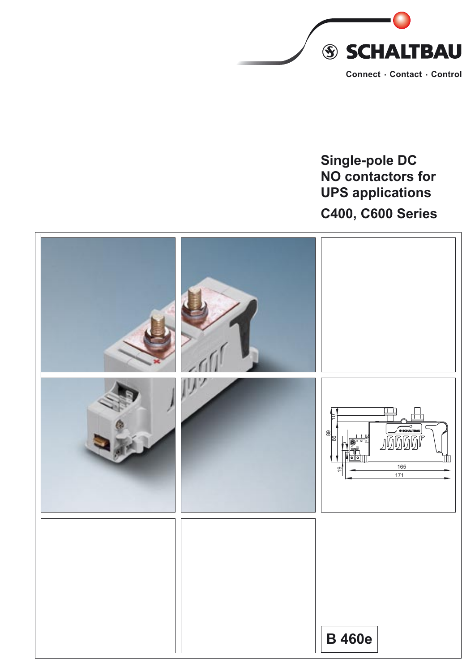

# **Single-pole DC NO contactors for UPS applications C400, C600 Series**